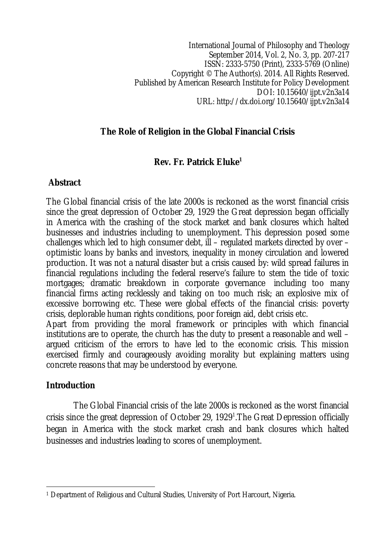International Journal of Philosophy and Theology September 2014, Vol. 2, No. 3, pp. 207-217 ISSN: 2333-5750 (Print), 2333-5769 (Online) Copyright © The Author(s). 2014. All Rights Reserved. Published by American Research Institute for Policy Development DOI: 10.15640/ijpt.v2n3a14 URL: http://dx.doi.org/10.15640/ijpt.v2n3a14

# **The Role of Religion in the Global Financial Crisis**

# **Rev. Fr. Patrick Eluke<sup>1</sup>**

# **Abstract**

The Global financial crisis of the late 2000s is reckoned as the worst financial crisis since the great depression of October 29, 1929 the Great depression began officially in America with the crashing of the stock market and bank closures which halted businesses and industries including to unemployment. This depression posed some challenges which led to high consumer debt, ill – regulated markets directed by over – optimistic loans by banks and investors, inequality in money circulation and lowered production. It was not a natural disaster but a crisis caused by: wild spread failures in financial regulations including the federal reserve's failure to stem the tide of toxic mortgages; dramatic breakdown in corporate governance including too many financial firms acting recklessly and taking on too much risk; an explosive mix of excessive borrowing etc. These were global effects of the financial crisis: poverty crisis, deplorable human rights conditions, poor foreign aid, debt crisis etc.

Apart from providing the moral framework or principles with which financial institutions are to operate, the church has the duty to present a reasonable and well – argued criticism of the errors to have led to the economic crisis. This mission exercised firmly and courageously avoiding morality but explaining matters using concrete reasons that may be understood by everyone.

# **Introduction**

The Global Financial crisis of the late 2000s is reckoned as the worst financial crisis since the great depression of October 29, 1929<sup>1</sup>.The Great Depression officially began in America with the stock market crash and bank closures which halted businesses and industries leading to scores of unemployment.

 $\overline{a}$ <sup>1</sup> Department of Religious and Cultural Studies, University of Port Harcourt, Nigeria.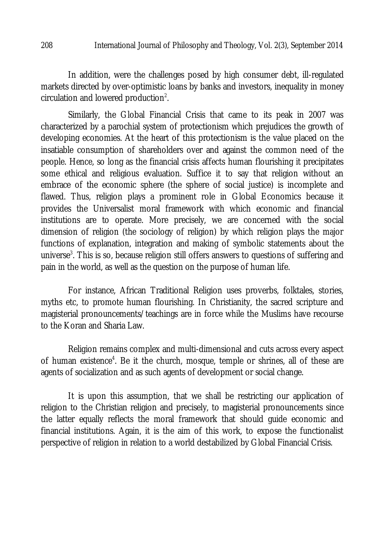In addition, were the challenges posed by high consumer debt, ill-regulated markets directed by over-optimistic loans by banks and investors, inequality in money circulation and lowered production<sup>2</sup>.

Similarly, the Global Financial Crisis that came to its peak in 2007 was characterized by a parochial system of protectionism which prejudices the growth of developing economies. At the heart of this protectionism is the value placed on the insatiable consumption of shareholders over and against the common need of the people. Hence, so long as the financial crisis affects human flourishing it precipitates some ethical and religious evaluation. Suffice it to say that religion without an embrace of the economic sphere (the sphere of social justice) is incomplete and flawed. Thus, religion plays a prominent role in Global Economics because it provides the Universalist moral framework with which economic and financial institutions are to operate. More precisely, we are concerned with the social dimension of religion (the sociology of religion) by which religion plays the major functions of explanation, integration and making of symbolic statements about the universe<sup>3</sup>. This is so, because religion still offers answers to questions of suffering and pain in the world, as well as the question on the purpose of human life.

For instance, African Traditional Religion uses proverbs, folktales, stories, myths etc, to promote human flourishing. In Christianity, the sacred scripture and magisterial pronouncements/teachings are in force while the Muslims have recourse to the Koran and Sharia Law.

Religion remains complex and multi-dimensional and cuts across every aspect of human existence<sup>4</sup>. Be it the church, mosque, temple or shrines, all of these are agents of socialization and as such agents of development or social change.

It is upon this assumption, that we shall be restricting our application of religion to the Christian religion and precisely, to magisterial pronouncements since the latter equally reflects the moral framework that should guide economic and financial institutions. Again, it is the aim of this work, to expose the functionalist perspective of religion in relation to a world destabilized by Global Financial Crisis.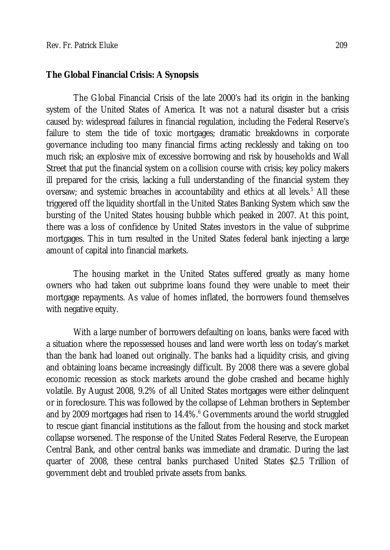#### **The Global Financial Crisis: A Synopsis**

The Global Financial Crisis of the late 2000's had its origin in the banking system of the United States of America. It was not a natural disaster but a crisis caused by: widespread failures in financial regulation, including the Federal Reserve's failure to stem the tide of toxic mortgages; dramatic breakdowns in corporate governance including too many financial firms acting recklessly and taking on too much risk; an explosive mix of excessive borrowing and risk by households and Wall Street that put the financial system on a collision course with crisis; key policy makers ill prepared for the crisis, lacking a full understanding of the financial system they oversaw; and systemic breaches in accountability and ethics at all levels.<sup>5</sup> All these triggered off the liquidity shortfall in the United States Banking System which saw the bursting of the United States housing bubble which peaked in 2007. At this point, there was a loss of confidence by United States investors in the value of subprime mortgages. This in turn resulted in the United States federal bank injecting a large amount of capital into financial markets.

The housing market in the United States suffered greatly as many home owners who had taken out subprime loans found they were unable to meet their mortgage repayments. As value of homes inflated, the borrowers found themselves with negative equity.

With a large number of borrowers defaulting on loans, banks were faced with a situation where the repossessed houses and land were worth less on today's market than the bank had loaned out originally. The banks had a liquidity crisis, and giving and obtaining loans became increasingly difficult. By 2008 there was a severe global economic recession as stock markets around the globe crashed and became highly volatile. By August 2008, 9.2% of all United States mortgages were either delinquent or in foreclosure. This was followed by the collapse of Lehman brothers in September and by 2009 mortgages had risen to 14.4%.<sup>6</sup> Governments around the world struggled to rescue giant financial institutions as the fallout from the housing and stock market collapse worsened. The response of the United States Federal Reserve, the European Central Bank, and other central banks was immediate and dramatic. During the last quarter of 2008, these central banks purchased United States \$2.5 Trillion of government debt and troubled private assets from banks.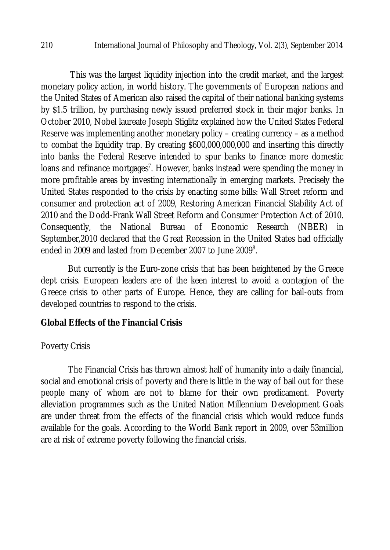This was the largest liquidity injection into the credit market, and the largest monetary policy action, in world history. The governments of European nations and the United States of American also raised the capital of their national banking systems by \$1.5 trillion, by purchasing newly issued preferred stock in their major banks. In October 2010, Nobel laureate Joseph Stiglitz explained how the United States Federal Reserve was implementing another monetary policy – creating currency – as a method to combat the liquidity trap. By creating \$600,000,000,000 and inserting this directly into banks the Federal Reserve intended to spur banks to finance more domestic loans and refinance mortgages<sup>7</sup>. However, banks instead were spending the money in more profitable areas by investing internationally in emerging markets. Precisely the United States responded to the crisis by enacting some bills: Wall Street reform and consumer and protection act of 2009, Restoring American Financial Stability Act of 2010 and the Dodd-Frank Wall Street Reform and Consumer Protection Act of 2010. Consequently, the National Bureau of Economic Research (NBER) in September,2010 declared that the Great Recession in the United States had officially ended in 2009 and lasted from December 2007 to June 2009 $^{\rm 8}.$ 

But currently is the Euro-zone crisis that has been heightened by the Greece dept crisis. European leaders are of the keen interest to avoid a contagion of the Greece crisis to other parts of Europe. Hence, they are calling for bail-outs from developed countries to respond to the crisis.

# **Global Effects of the Financial Crisis**

### Poverty Crisis

The Financial Crisis has thrown almost half of humanity into a daily financial, social and emotional crisis of poverty and there is little in the way of bail out for these people many of whom are not to blame for their own predicament. Poverty alleviation programmes such as the United Nation Millennium Development Goals are under threat from the effects of the financial crisis which would reduce funds available for the goals. According to the World Bank report in 2009, over 53million are at risk of extreme poverty following the financial crisis.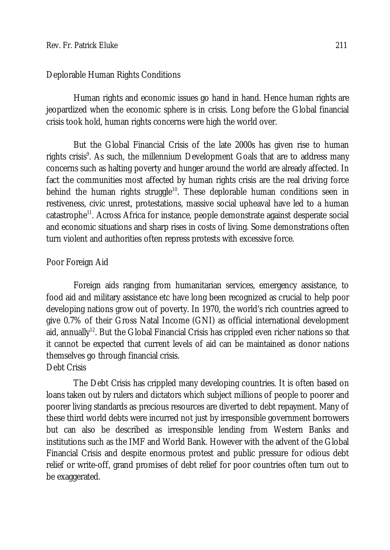#### Deplorable Human Rights Conditions

Human rights and economic issues go hand in hand. Hence human rights are jeopardized when the economic sphere is in crisis. Long before the Global financial crisis took hold, human rights concerns were high the world over.

But the Global Financial Crisis of the late 2000s has given rise to human rights crisis<sup>9</sup>. As such, the millennium Development Goals that are to address many concerns such as halting poverty and hunger around the world are already affected. In fact the communities most affected by human rights crisis are the real driving force behind the human rights struggle<sup>10</sup>. These deplorable human conditions seen in restiveness, civic unrest, protestations, massive social upheaval have led to a human catastrophe<sup>11</sup>. Across Africa for instance, people demonstrate against desperate social and economic situations and sharp rises in costs of living. Some demonstrations often turn violent and authorities often repress protests with excessive force.

### Poor Foreign Aid

Foreign aids ranging from humanitarian services, emergency assistance, to food aid and military assistance etc have long been recognized as crucial to help poor developing nations grow out of poverty. In 1970, the world's rich countries agreed to give 0.7% of their Gross Natal Income (GNI) as official international development aid, annually<sup>12</sup>. But the Global Financial Crisis has crippled even richer nations so that it cannot be expected that current levels of aid can be maintained as donor nations themselves go through financial crisis. Debt Crisis

The Debt Crisis has crippled many developing countries. It is often based on loans taken out by rulers and dictators which subject millions of people to poorer and poorer living standards as precious resources are diverted to debt repayment. Many of these third world debts were incurred not just by irresponsible government borrowers but can also be described as irresponsible lending from Western Banks and institutions such as the IMF and World Bank. However with the advent of the Global Financial Crisis and despite enormous protest and public pressure for odious debt relief or write-off, grand promises of debt relief for poor countries often turn out to be exaggerated.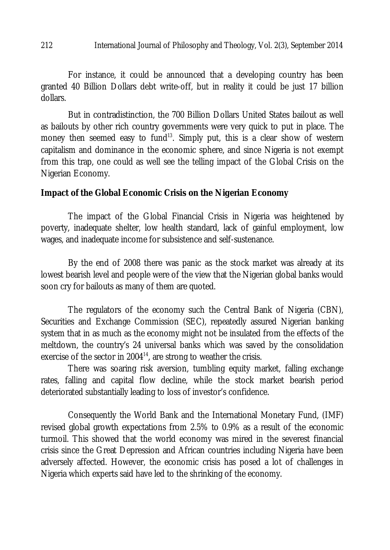#### 212 International Journal of Philosophy and Theology, Vol. 2(3), September 2014

For instance, it could be announced that a developing country has been granted 40 Billion Dollars debt write-off, but in reality it could be just 17 billion dollars.

But in contradistinction, the 700 Billion Dollars United States bailout as well as bailouts by other rich country governments were very quick to put in place. The money then seemed easy to fund<sup>13</sup>. Simply put, this is a clear show of western capitalism and dominance in the economic sphere, and since Nigeria is not exempt from this trap, one could as well see the telling impact of the Global Crisis on the Nigerian Economy.

#### **Impact of the Global Economic Crisis on the Nigerian Economy**

The impact of the Global Financial Crisis in Nigeria was heightened by poverty, inadequate shelter, low health standard, lack of gainful employment, low wages, and inadequate income for subsistence and self-sustenance.

By the end of 2008 there was panic as the stock market was already at its lowest bearish level and people were of the view that the Nigerian global banks would soon cry for bailouts as many of them are quoted.

The regulators of the economy such the Central Bank of Nigeria (CBN), Securities and Exchange Commission (SEC), repeatedly assured Nigerian banking system that in as much as the economy might not be insulated from the effects of the meltdown, the country's 24 universal banks which was saved by the consolidation exercise of the sector in 2004<sup>14</sup>, are strong to weather the crisis.

There was soaring risk aversion, tumbling equity market, falling exchange rates, falling and capital flow decline, while the stock market bearish period deteriorated substantially leading to loss of investor's confidence.

Consequently the World Bank and the International Monetary Fund, (IMF) revised global growth expectations from 2.5% to 0.9% as a result of the economic turmoil. This showed that the world economy was mired in the severest financial crisis since the Great Depression and African countries including Nigeria have been adversely affected. However, the economic crisis has posed a lot of challenges in Nigeria which experts said have led to the shrinking of the economy.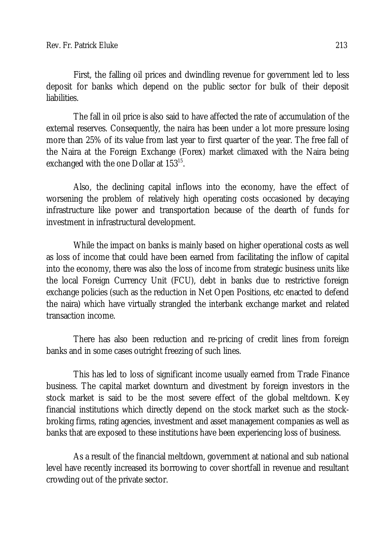First, the falling oil prices and dwindling revenue for government led to less deposit for banks which depend on the public sector for bulk of their deposit liabilities.

The fall in oil price is also said to have affected the rate of accumulation of the external reserves. Consequently, the naira has been under a lot more pressure losing more than 25% of its value from last year to first quarter of the year. The free fall of the Naira at the Foreign Exchange (Forex) market climaxed with the Naira being exchanged with the one Dollar at 153 $^{15}$ .

Also, the declining capital inflows into the economy, have the effect of worsening the problem of relatively high operating costs occasioned by decaying infrastructure like power and transportation because of the dearth of funds for investment in infrastructural development.

While the impact on banks is mainly based on higher operational costs as well as loss of income that could have been earned from facilitating the inflow of capital into the economy, there was also the loss of income from strategic business units like the local Foreign Currency Unit (FCU), debt in banks due to restrictive foreign exchange policies (such as the reduction in Net Open Positions, etc enacted to defend the naira) which have virtually strangled the interbank exchange market and related transaction income.

There has also been reduction and re-pricing of credit lines from foreign banks and in some cases outright freezing of such lines.

This has led to loss of significant income usually earned from Trade Finance business. The capital market downturn and divestment by foreign investors in the stock market is said to be the most severe effect of the global meltdown. Key financial institutions which directly depend on the stock market such as the stockbroking firms, rating agencies, investment and asset management companies as well as banks that are exposed to these institutions have been experiencing loss of business.

As a result of the financial meltdown, government at national and sub national level have recently increased its borrowing to cover shortfall in revenue and resultant crowding out of the private sector.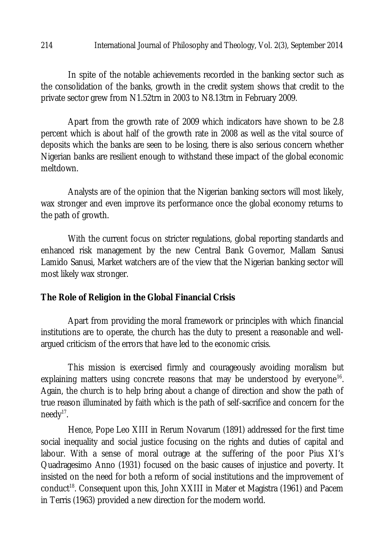In spite of the notable achievements recorded in the banking sector such as the consolidation of the banks, growth in the credit system shows that credit to the private sector grew from N1.52trn in 2003 to N8.13trn in February 2009.

Apart from the growth rate of 2009 which indicators have shown to be 2.8 percent which is about half of the growth rate in 2008 as well as the vital source of deposits which the banks are seen to be losing, there is also serious concern whether Nigerian banks are resilient enough to withstand these impact of the global economic meltdown.

Analysts are of the opinion that the Nigerian banking sectors will most likely, wax stronger and even improve its performance once the global economy returns to the path of growth.

With the current focus on stricter regulations, global reporting standards and enhanced risk management by the new Central Bank Governor, Mallam Sanusi Lamido Sanusi, Market watchers are of the view that the Nigerian banking sector will most likely wax stronger.

### **The Role of Religion in the Global Financial Crisis**

Apart from providing the moral framework or principles with which financial institutions are to operate, the church has the duty to present a reasonable and wellargued criticism of the errors that have led to the economic crisis.

This mission is exercised firmly and courageously avoiding moralism but explaining matters using concrete reasons that may be understood by everyone<sup>16</sup>. Again, the church is to help bring about a change of direction and show the path of true reason illuminated by faith which is the path of self-sacrifice and concern for the needy<sup>17</sup>.

Hence, Pope Leo XIII in Rerum Novarum (1891) addressed for the first time social inequality and social justice focusing on the rights and duties of capital and labour. With a sense of moral outrage at the suffering of the poor Pius XI's Quadragesimo Anno (1931) focused on the basic causes of injustice and poverty. It insisted on the need for both a reform of social institutions and the improvement of conduct<sup>18</sup>. Consequent upon this, John XXIII in Mater et Magistra (1961) and Pacem in Terris (1963) provided a new direction for the modern world.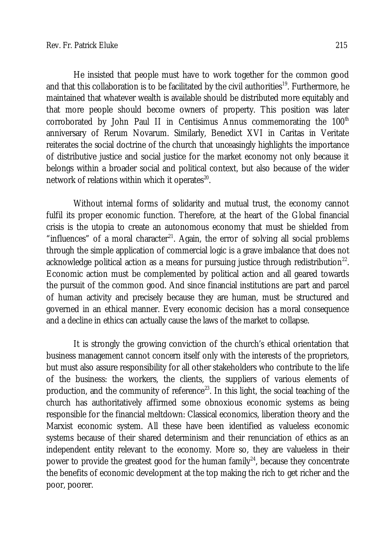He insisted that people must have to work together for the common good and that this collaboration is to be facilitated by the civil authorities<sup>19</sup>. Furthermore, he maintained that whatever wealth is available should be distributed more equitably and that more people should become owners of property. This position was later corroborated by John Paul II in Centisimus Annus commemorating the  $100<sup>th</sup>$ anniversary of Rerum Novarum. Similarly, Benedict XVI in Caritas in Veritate reiterates the social doctrine of the church that unceasingly highlights the importance of distributive justice and social justice for the market economy not only because it belongs within a broader social and political context, but also because of the wider network of relations within which it operates $^{\text{20}}$ .

Without internal forms of solidarity and mutual trust, the economy cannot fulfil its proper economic function. Therefore, at the heart of the Global financial crisis is the utopia to create an autonomous economy that must be shielded from "influences" of a moral character<sup>21</sup>. Again, the error of solving all social problems through the simple application of commercial logic is a grave imbalance that does not acknowledge political action as a means for pursuing justice through redistribution $^{22}$ . Economic action must be complemented by political action and all geared towards the pursuit of the common good. And since financial institutions are part and parcel of human activity and precisely because they are human, must be structured and governed in an ethical manner. Every economic decision has a moral consequence and a decline in ethics can actually cause the laws of the market to collapse.

It is strongly the growing conviction of the church's ethical orientation that business management cannot concern itself only with the interests of the proprietors, but must also assure responsibility for all other stakeholders who contribute to the life of the business: the workers, the clients, the suppliers of various elements of production, and the community of reference<sup>23</sup>. In this light, the social teaching of the church has authoritatively affirmed some obnoxious economic systems as being responsible for the financial meltdown: Classical economics, liberation theory and the Marxist economic system. All these have been identified as valueless economic systems because of their shared determinism and their renunciation of ethics as an independent entity relevant to the economy. More so, they are valueless in their power to provide the greatest good for the human family $24$ , because they concentrate the benefits of economic development at the top making the rich to get richer and the poor, poorer.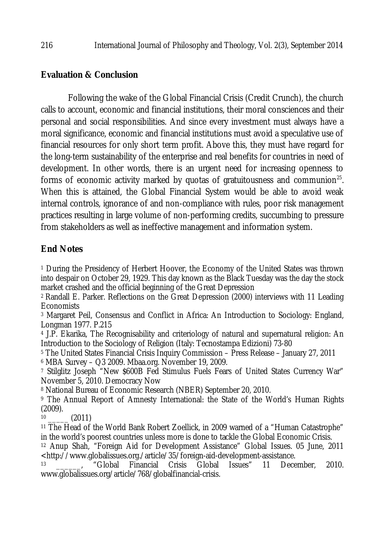# **Evaluation & Conclusion**

Following the wake of the Global Financial Crisis (Credit Crunch), the church calls to account, economic and financial institutions, their moral consciences and their personal and social responsibilities. And since every investment must always have a moral significance, economic and financial institutions must avoid a speculative use of financial resources for only short term profit. Above this, they must have regard for the long-term sustainability of the enterprise and real benefits for countries in need of development. In other words, there is an urgent need for increasing openness to forms of economic activity marked by quotas of gratuitousness and communion<sup>25</sup>. When this is attained, the Global Financial System would be able to avoid weak internal controls, ignorance of and non-compliance with rules, poor risk management practices resulting in large volume of non-performing credits, succumbing to pressure from stakeholders as well as ineffective management and information system.

# **End Notes**

<sup>1</sup> During the Presidency of Herbert Hoover, the Economy of the United States was thrown into despair on October 29, 1929. This day known as the Black Tuesday was the day the stock market crashed and the official beginning of the Great Depression

<sup>2</sup> Randall E. Parker. Reflections on the Great Depression (2000) interviews with 11 Leading **Economists** 

<sup>3</sup> Margaret Peil, Consensus and Conflict in Africa: An Introduction to Sociology: England, Longman 1977. P.215

<sup>4</sup> J.P. Ekarika, The Recognisability and criteriology of natural and supernatural religion: An Introduction to the Sociology of Religion (Italy: Tecnostampa Edizioni) 73-80

<sup>5</sup> The United States Financial Crisis Inquiry Commission – Press Release – January 27, 2011

<sup>6</sup> MBA Survey – Q3 2009. Mbaa.org. November 19, 2009.

<sup>7</sup> Stilglitz Joseph "New \$600B Fed Stimulus Fuels Fears of United States Currency War" November 5, 2010. Democracy Now

<sup>8</sup> National Bureau of Economic Research (NBER) September 20, 2010.

<sup>9</sup> The Annual Report of Amnesty International: the State of the World's Human Rights (2009).

 $10$  (2011)

<sup>11</sup> The Head of the World Bank Robert Zoellick, in 2009 warned of a "Human Catastrophe" in the world's poorest countries unless more is done to tackle the Global Economic Crisis.

<sup>12</sup> Anup Shah, "Foreign Aid for Development Assistance" Global Issues. 05 June, 2011 <http://www.globalissues.org./article/35/foreign-aid-development-assistance.

Financial Crisis Global Issues" 11 December, 2010. www.globalissues.org/article/768/globalfinancial-crisis.